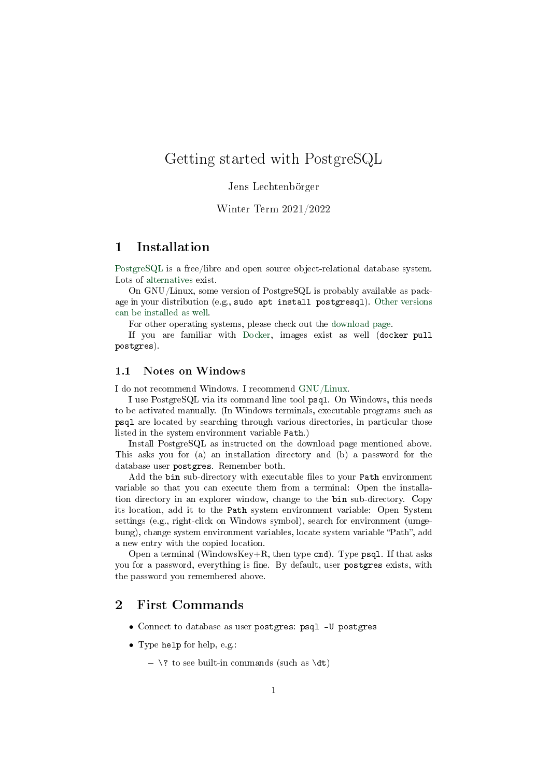# Getting started with PostgreSQL

#### Jens Lechtenbörger

## Winter Term 2021/2022

## 1 Installation

[PostgreSQL](https://www.postgresql.org/) is a free/libre and open source object-relational database system. Lots of [alternatives](https://en.wikipedia.org/wiki/Comparison_of_relational_database_management_systems) exist.

On GNU/Linux, some version of PostgreSQL is probably available as package in your distribution (e.g., sudo apt install postgresql). [Other versions](https://www.postgresql.org/download/linux/ubuntu/) [can be installed as well.](https://www.postgresql.org/download/linux/ubuntu/)

For other operating systems, please check out the [download page.](https://www.postgresql.org/download/)

If you are familiar with [Docker,](https://oer.gitlab.io/oer-courses/vm-oer/04-Docker.html) images exist as well (docker pull postgres).

## 1.1 Notes on Windows

I do not recommend Windows. I recommend [GNU/Linux.](https://www.getgnulinux.org/)

I use PostgreSQL via its command line tool psql. On Windows, this needs to be activated manually. (In Windows terminals, executable programs such as psql are located by searching through various directories, in particular those listed in the system environment variable Path.)

Install PostgreSQL as instructed on the download page mentioned above. This asks you for (a) an installation directory and (b) a password for the database user postgres. Remember both.

Add the bin sub-directory with executable files to your Path environment variable so that you can execute them from a terminal: Open the installation directory in an explorer window, change to the bin sub-directory. Copy its location, add it to the Path system environment variable: Open System settings (e.g., right-click on Windows symbol), search for environment (umgebung), change system environment variables, locate system variable "Path", add a new entry with the copied location.

Open a terminal (WindowsKey+R, then type cmd). Type psql. If that asks you for a password, everything is fine. By default, user postgres exists, with the password you remembered above.

# 2 First Commands

- Connect to database as user postgres: psql -U postgres
- Type help for help, e.g.:
	- $\setminus$ ? to see built-in commands (such as  $\det$ )